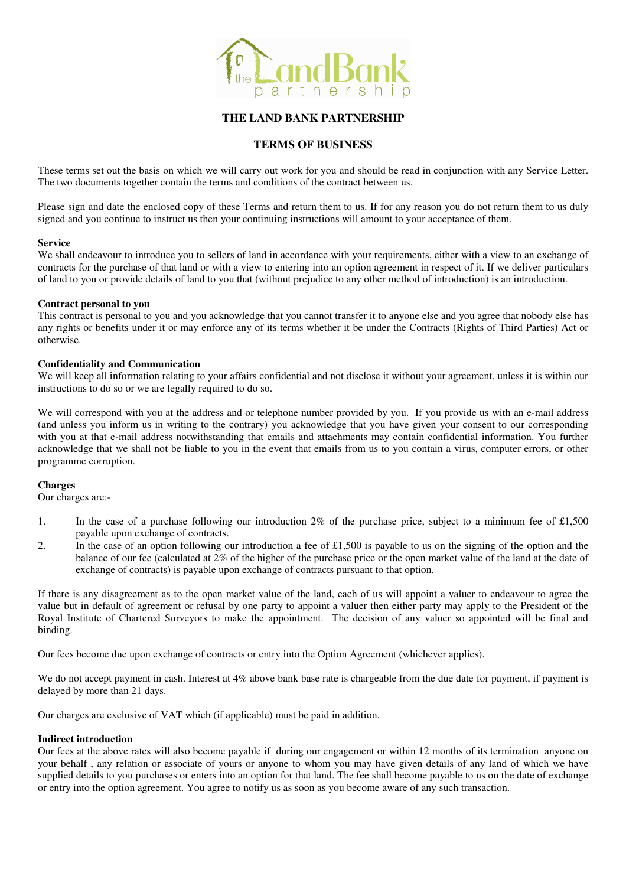

# **THE LAND BANK PARTNERSHIP**

# **TERMS OF BUSINESS**

These terms set out the basis on which we will carry out work for you and should be read in conjunction with any Service Letter. The two documents together contain the terms and conditions of the contract between us.

Please sign and date the enclosed copy of these Terms and return them to us. If for any reason you do not return them to us duly signed and you continue to instruct us then your continuing instructions will amount to your acceptance of them.

#### **Service**

We shall endeavour to introduce you to sellers of land in accordance with your requirements, either with a view to an exchange of contracts for the purchase of that land or with a view to entering into an option agreement in respect of it. If we deliver particulars of land to you or provide details of land to you that (without prejudice to any other method of introduction) is an introduction.

#### **Contract personal to you**

This contract is personal to you and you acknowledge that you cannot transfer it to anyone else and you agree that nobody else has any rights or benefits under it or may enforce any of its terms whether it be under the Contracts (Rights of Third Parties) Act or otherwise.

#### **Confidentiality and Communication**

We will keep all information relating to your affairs confidential and not disclose it without your agreement, unless it is within our instructions to do so or we are legally required to do so.

We will correspond with you at the address and or telephone number provided by you. If you provide us with an e-mail address (and unless you inform us in writing to the contrary) you acknowledge that you have given your consent to our corresponding with you at that e-mail address notwithstanding that emails and attachments may contain confidential information. You further acknowledge that we shall not be liable to you in the event that emails from us to you contain a virus, computer errors, or other programme corruption.

#### **Charges**

Our charges are:-

- 1. In the case of a purchase following our introduction 2% of the purchase price, subject to a minimum fee of £1,500 payable upon exchange of contracts.
- 2. In the case of an option following our introduction a fee of £1,500 is payable to us on the signing of the option and the balance of our fee (calculated at 2% of the higher of the purchase price or the open market value of the land at the date of exchange of contracts) is payable upon exchange of contracts pursuant to that option.

If there is any disagreement as to the open market value of the land, each of us will appoint a valuer to endeavour to agree the value but in default of agreement or refusal by one party to appoint a valuer then either party may apply to the President of the Royal Institute of Chartered Surveyors to make the appointment. The decision of any valuer so appointed will be final and binding.

Our fees become due upon exchange of contracts or entry into the Option Agreement (whichever applies).

We do not accept payment in cash. Interest at 4% above bank base rate is chargeable from the due date for payment, if payment is delayed by more than 21 days.

Our charges are exclusive of VAT which (if applicable) must be paid in addition.

#### **Indirect introduction**

Our fees at the above rates will also become payable if during our engagement or within 12 months of its termination anyone on your behalf , any relation or associate of yours or anyone to whom you may have given details of any land of which we have supplied details to you purchases or enters into an option for that land. The fee shall become payable to us on the date of exchange or entry into the option agreement. You agree to notify us as soon as you become aware of any such transaction.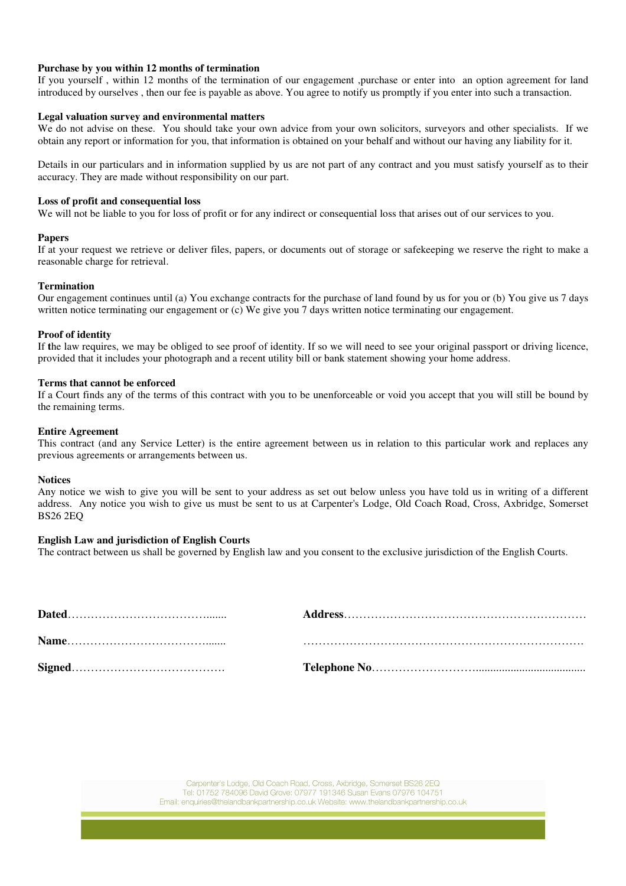## **Purchase by you within 12 months of termination**

If you yourself , within 12 months of the termination of our engagement ,purchase or enter into an option agreement for land introduced by ourselves , then our fee is payable as above. You agree to notify us promptly if you enter into such a transaction.

#### **Legal valuation survey and environmental matters**

We do not advise on these. You should take your own advice from your own solicitors, surveyors and other specialists. If we obtain any report or information for you, that information is obtained on your behalf and without our having any liability for it.

Details in our particulars and in information supplied by us are not part of any contract and you must satisfy yourself as to their accuracy. They are made without responsibility on our part.

#### **Loss of profit and consequential loss**

We will not be liable to you for loss of profit or for any indirect or consequential loss that arises out of our services to you.

## **Papers**

If at your request we retrieve or deliver files, papers, or documents out of storage or safekeeping we reserve the right to make a reasonable charge for retrieval.

## **Termination**

Our engagement continues until (a) You exchange contracts for the purchase of land found by us for you or (b) You give us 7 days written notice terminating our engagement or (c) We give you 7 days written notice terminating our engagement.

## **Proof of identity**

If **t**he law requires, we may be obliged to see proof of identity. If so we will need to see your original passport or driving licence, provided that it includes your photograph and a recent utility bill or bank statement showing your home address.

## **Terms that cannot be enforced**

If a Court finds any of the terms of this contract with you to be unenforceable or void you accept that you will still be bound by the remaining terms.

## **Entire Agreement**

This contract (and any Service Letter) is the entire agreement between us in relation to this particular work and replaces any previous agreements or arrangements between us.

#### **Notices**

Any notice we wish to give you will be sent to your address as set out below unless you have told us in writing of a different address. Any notice you wish to give us must be sent to us at Carpenter's Lodge, Old Coach Road, Cross, Axbridge, Somerset BS26 2EQ

## **English Law and jurisdiction of English Courts**

The contract between us shall be governed by English law and you consent to the exclusive jurisdiction of the English Courts.